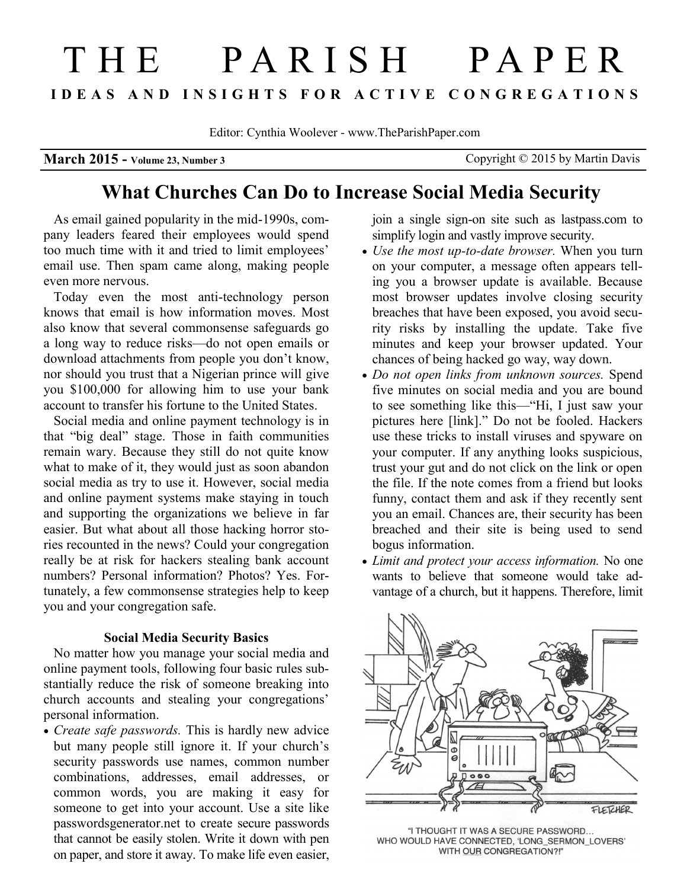# T H E P A R I S H P A P E R **I D E A S A N D I N S I G H T S F O R A C T I V E C O N G R E G A T I O N S**

Editor: Cynthia Woolever - www.TheParishPaper.com

**March 2015 -** Volume 23, Number 3 Copyright © 2015 by Martin Davis

## **What Churches Can Do to Increase Social Media Security**

As email gained popularity in the mid-1990s, company leaders feared their employees would spend too much time with it and tried to limit employees' email use. Then spam came along, making people even more nervous.

Today even the most anti-technology person knows that email is how information moves. Most also know that several commonsense safeguards go a long way to reduce risks—do not open emails or download attachments from people you don't know, nor should you trust that a Nigerian prince will give you \$100,000 for allowing him to use your bank account to transfer his fortune to the United States.

Social media and online payment technology is in that "big deal" stage. Those in faith communities remain wary. Because they still do not quite know what to make of it, they would just as soon abandon social media as try to use it. However, social media and online payment systems make staying in touch and supporting the organizations we believe in far easier. But what about all those hacking horror stories recounted in the news? Could your congregation really be at risk for hackers stealing bank account numbers? Personal information? Photos? Yes. Fortunately, a few commonsense strategies help to keep you and your congregation safe.

#### **Social Media Security Basics**

No matter how you manage your social media and online payment tools, following four basic rules substantially reduce the risk of someone breaking into church accounts and stealing your congregations' personal information.

 *Create safe passwords.* This is hardly new advice but many people still ignore it. If your church's security passwords use names, common number combinations, addresses, email addresses, or common words, you are making it easy for someone to get into your account. Use a site like passwordsgenerator.net to create secure passwords that cannot be easily stolen. Write it down with pen on paper, and store it away. To make life even easier,

join a single sign-on site such as lastpass.com to simplify login and vastly improve security.

- *Use the most up-to-date browser.* When you turn on your computer, a message often appears telling you a browser update is available. Because most browser updates involve closing security breaches that have been exposed, you avoid security risks by installing the update. Take five minutes and keep your browser updated. Your chances of being hacked go way, way down.
- *Do not open links from unknown sources.* Spend five minutes on social media and you are bound to see something like this—"Hi, I just saw your pictures here [link]." Do not be fooled. Hackers use these tricks to install viruses and spyware on your computer. If any anything looks suspicious, trust your gut and do not click on the link or open the file. If the note comes from a friend but looks funny, contact them and ask if they recently sent you an email. Chances are, their security has been breached and their site is being used to send bogus information.
- *Limit and protect your access information.* No one wants to believe that someone would take advantage of a church, but it happens. Therefore, limit



"I THOUGHT IT WAS A SECURE PASSWORD... WHO WOULD HAVE CONNECTED, 'LONG\_SERMON\_LOVERS' WITH OUR CONGREGATION?!"